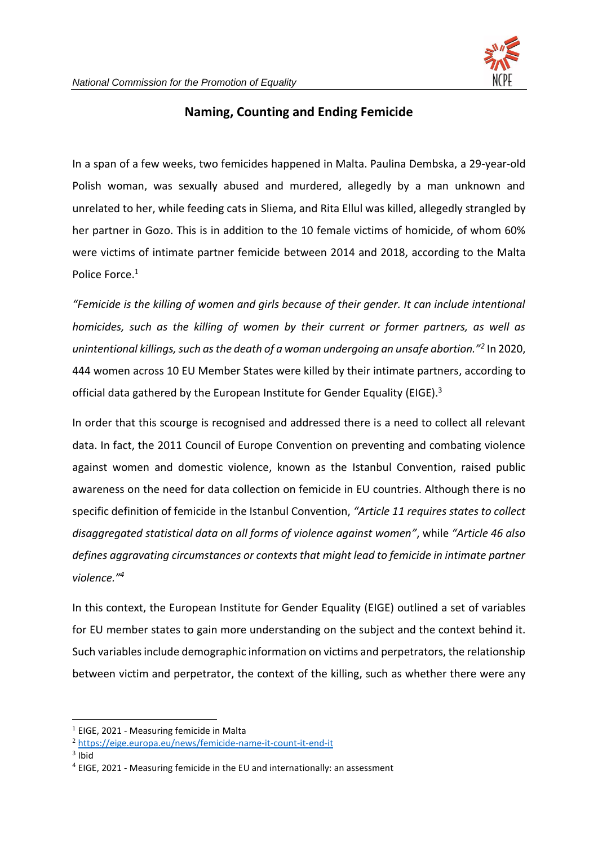

## **Naming, Counting and Ending Femicide**

In a span of a few weeks, two femicides happened in Malta. Paulina Dembska, a 29-year-old Polish woman, was sexually abused and murdered, allegedly by a man unknown and unrelated to her, while feeding cats in Sliema, and Rita Ellul was killed, allegedly strangled by her partner in Gozo. This is in addition to the 10 female victims of homicide, of whom 60% were victims of intimate partner femicide between 2014 and 2018, according to the Malta Police Force. 1

*"Femicide is the killing of women and girls because of their gender. It can include intentional homicides, such as the killing of women by their current or former partners, as well as unintentional killings, such as the death of a woman undergoing an unsafe abortion."<sup>2</sup>* In 2020, 444 women across 10 EU Member States were killed by their intimate partners, according to official data gathered by the European Institute for Gender Equality (EIGE).<sup>3</sup>

In order that this scourge is recognised and addressed there is a need to collect all relevant data. In fact, the 2011 Council of Europe Convention on preventing and combating violence against women and domestic violence, known as the Istanbul Convention, raised public awareness on the need for data collection on femicide in EU countries. Although there is no specific definition of femicide in the Istanbul Convention, *"Article 11 requires states to collect disaggregated statistical data on all forms of violence against women"*, while *"Article 46 also defines aggravating circumstances or contexts that might lead to femicide in intimate partner violence." 4*

In this context, the European Institute for Gender Equality (EIGE) outlined a set of variables for EU member states to gain more understanding on the subject and the context behind it. Such variables include demographic information on victims and perpetrators, the relationship between victim and perpetrator, the context of the killing, such as whether there were any

 $3$  Ibid

 $1$  EIGE, 2021 - Measuring femicide in Malta

<sup>2</sup> <https://eige.europa.eu/news/femicide-name-it-count-it-end-it>

<sup>4</sup> EIGE, 2021 - Measuring femicide in the EU and internationally: an assessment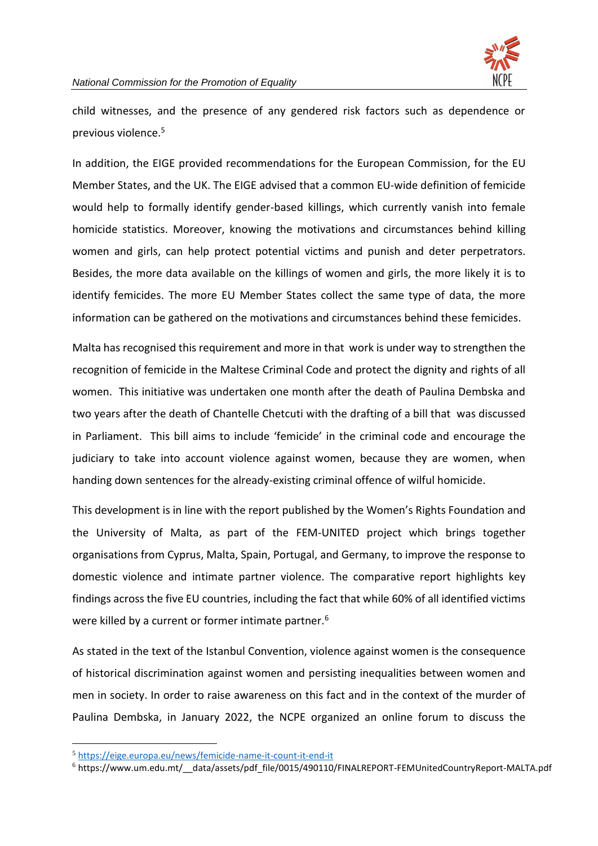

child witnesses, and the presence of any gendered risk factors such as dependence or previous violence.<sup>5</sup>

In addition, the EIGE provided recommendations for the European Commission, for the EU Member States, and the UK. The EIGE advised that a common EU-wide definition of femicide would help to formally identify gender-based killings, which currently vanish into female homicide statistics. Moreover, knowing the motivations and circumstances behind killing women and girls, can help protect potential victims and punish and deter perpetrators. Besides, the more data available on the killings of women and girls, the more likely it is to identify femicides. The more EU Member States collect the same type of data, the more information can be gathered on the motivations and circumstances behind these femicides.

Malta has recognised this requirement and more in that work is under way to strengthen the recognition of femicide in the Maltese Criminal Code and protect the dignity and rights of all women. This initiative was undertaken one month after the death of Paulina Dembska and two years after the death of Chantelle Chetcuti with the drafting of a bill that was discussed in Parliament. This bill aims to include 'femicide' in the criminal code and encourage the judiciary to take into account violence against women, because they are women, when handing down sentences for the already-existing criminal offence of wilful homicide.

This development is in line with the report published by the Women's Rights Foundation and the University of Malta, as part of the FEM-UNITED project which brings together organisations from Cyprus, Malta, Spain, Portugal, and Germany, to improve the response to domestic violence and intimate partner violence. The comparative report highlights key findings across the five EU countries, including the fact that while 60% of all identified victims were killed by a current or former intimate partner.<sup>6</sup>

As stated in the text of the Istanbul Convention, violence against women is the consequence of historical discrimination against women and persisting inequalities between women and men in society. In order to raise awareness on this fact and in the context of the murder of Paulina Dembska, in January 2022, the NCPE organized an online forum to discuss the

<sup>5</sup> <https://eige.europa.eu/news/femicide-name-it-count-it-end-it>

<sup>6</sup> https://www.um.edu.mt/\_\_data/assets/pdf\_file/0015/490110/FINALREPORT-FEMUnitedCountryReport-MALTA.pdf